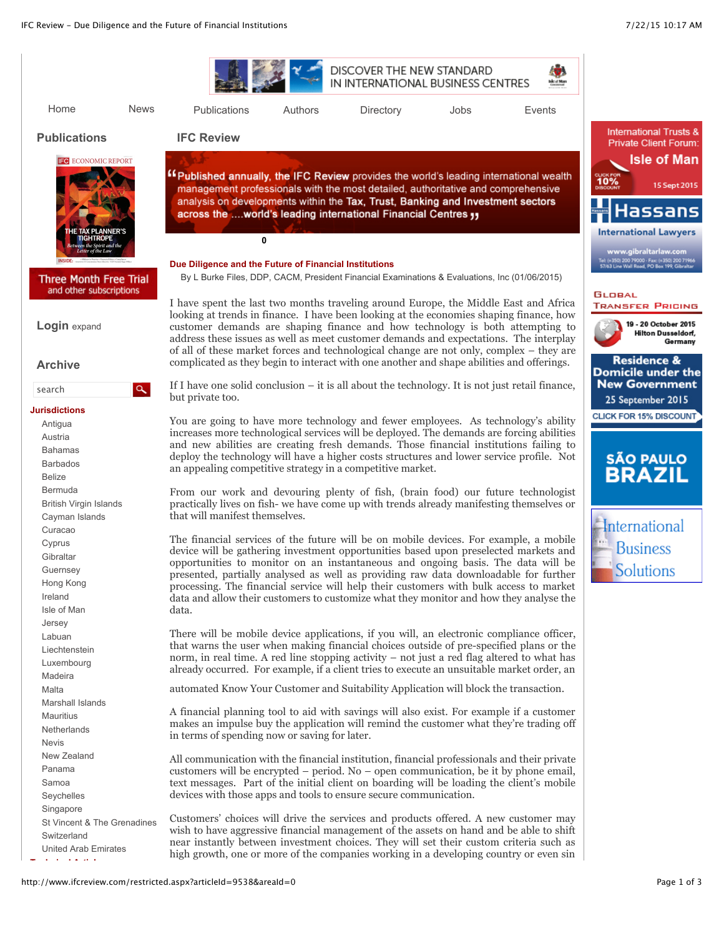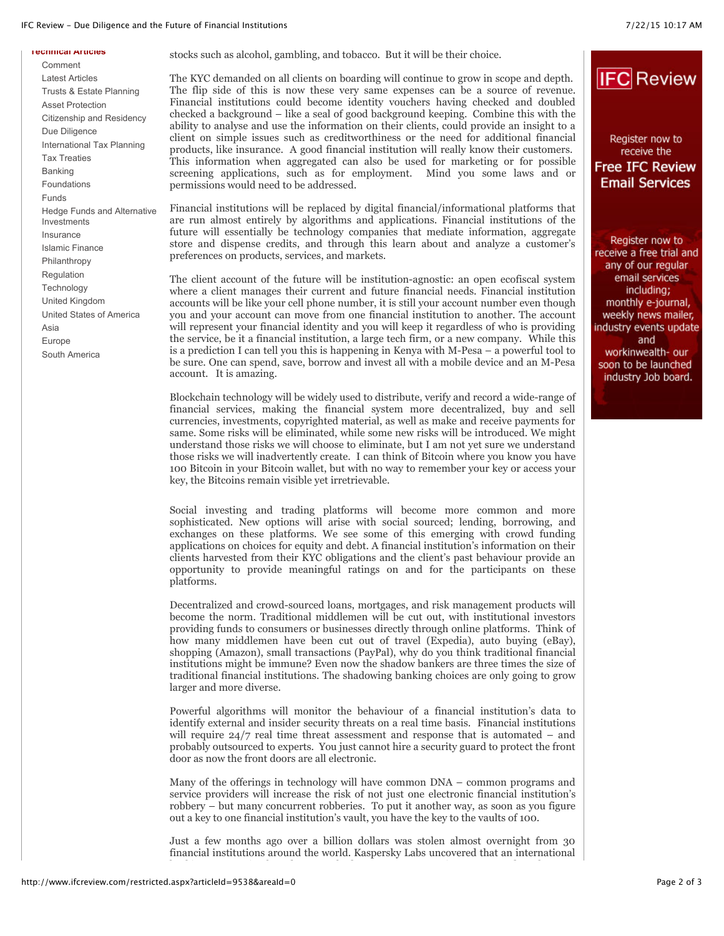## IFC Review - Due Diligence and the Future of Financial Institutions 7/22/15 10:17 AM

**IFC** Review

Register now to receive the **Free IFC Review Email Services** 

Register now to receive a free trial and any of our regular email services including; monthly e-journal, weekly news mailer, industry events update and workinwealth- our soon to be launched industry Job board.

## **Technical Articles**

[Comment](http://www.ifcreview.com/area.aspx?areaId=52) [Latest Articles](http://www.ifcreview.com/area.aspx?areaId=51) [Trusts & Estate Planning](http://www.ifcreview.com/area.aspx?areaId=57) [Asset Protection](http://www.ifcreview.com/area.aspx?areaId=5) [Citizenship and Residency](http://www.ifcreview.com/area.aspx?areaId=64) [Due Diligence](http://www.ifcreview.com/area.aspx?areaId=63) [International Tax Planning](http://www.ifcreview.com/area.aspx?areaId=39) [Tax Treaties](http://www.ifcreview.com/area.aspx?areaId=13) [Banking](http://www.ifcreview.com/area.aspx?areaId=56) [Foundations](http://www.ifcreview.com/area.aspx?areaId=4) [Funds](http://www.ifcreview.com/area.aspx?areaId=50) [Hedge Funds and Alternative](http://www.ifcreview.com/area.aspx?areaId=43) Investments [Insurance](http://www.ifcreview.com/area.aspx?areaId=49) [Islamic Finance](http://www.ifcreview.com/area.aspx?areaId=58) [Philanthropy](http://www.ifcreview.com/area.aspx?areaId=40) [Regulation](http://www.ifcreview.com/area.aspx?areaId=45) **[Technology](http://www.ifcreview.com/area.aspx?areaId=59)** [United Kingdom](http://www.ifcreview.com/area.aspx?areaId=47) [United States of America](http://www.ifcreview.com/area.aspx?areaId=46) [Asia](http://www.ifcreview.com/area.aspx?areaId=42) [Europe](http://www.ifcreview.com/area.aspx?areaId=55) [South America](http://www.ifcreview.com/area.aspx?areaId=41)

stocks such as alcohol, gambling, and tobacco. But it will be their choice.

The KYC demanded on all clients on boarding will continue to grow in scope and depth. The flip side of this is now these very same expenses can be a source of revenue. Financial institutions could become identity vouchers having checked and doubled checked a background – like a seal of good background keeping. Combine this with the ability to analyse and use the information on their clients, could provide an insight to a client on simple issues such as creditworthiness or the need for additional financial products, like insurance. A good financial institution will really know their customers. This information when aggregated can also be used for marketing or for possible screening applications, such as for employment. Mind you some laws and or permissions would need to be addressed.

Financial institutions will be replaced by digital financial/informational platforms that are run almost entirely by algorithms and applications. Financial institutions of the future will essentially be technology companies that mediate information, aggregate store and dispense credits, and through this learn about and analyze a customer's preferences on products, services, and markets.

The client account of the future will be institution-agnostic: an open ecofiscal system where a client manages their current and future financial needs. Financial institution accounts will be like your cell phone number, it is still your account number even though you and your account can move from one financial institution to another. The account will represent your financial identity and you will keep it regardless of who is providing the service, be it a financial institution, a large tech firm, or a new company. While this is a prediction I can tell you this is happening in Kenya with M-Pesa – a powerful tool to be sure. One can spend, save, borrow and invest all with a mobile device and an M-Pesa account. It is amazing.

Blockchain technology will be widely used to distribute, verify and record a wide-range of financial services, making the financial system more decentralized, buy and sell currencies, investments, copyrighted material, as well as make and receive payments for same. Some risks will be eliminated, while some new risks will be introduced. We might understand those risks we will choose to eliminate, but I am not yet sure we understand those risks we will inadvertently create. I can think of Bitcoin where you know you have 100 Bitcoin in your Bitcoin wallet, but with no way to remember your key or access your key, the Bitcoins remain visible yet irretrievable.

Social investing and trading platforms will become more common and more sophisticated. New options will arise with social sourced; lending, borrowing, and exchanges on these platforms. We see some of this emerging with crowd funding applications on choices for equity and debt. A financial institution's information on their clients harvested from their KYC obligations and the client's past behaviour provide an opportunity to provide meaningful ratings on and for the participants on these platforms.

Decentralized and crowd-sourced loans, mortgages, and risk management products will become the norm. Traditional middlemen will be cut out, with institutional investors providing funds to consumers or businesses directly through online platforms. Think of how many middlemen have been cut out of travel (Expedia), auto buying (eBay), shopping (Amazon), small transactions (PayPal), why do you think traditional financial institutions might be immune? Even now the shadow bankers are three times the size of traditional financial institutions. The shadowing banking choices are only going to grow larger and more diverse.

Powerful algorithms will monitor the behaviour of a financial institution's data to identify external and insider security threats on a real time basis. Financial institutions will require  $24/7$  real time threat assessment and response that is automated – and probably outsourced to experts. You just cannot hire a security guard to protect the front door as now the front doors are all electronic.

Many of the offerings in technology will have common DNA – common programs and service providers will increase the risk of not just one electronic financial institution's robbery – but many concurrent robberies. To put it another way, as soon as you figure out a key to one financial institution's vault, you have the key to the vaults of 100.

Just a few months ago over a billion dollars was stolen almost overnight from 30 financial institutions around the world. Kaspersky Labs uncovered that an international